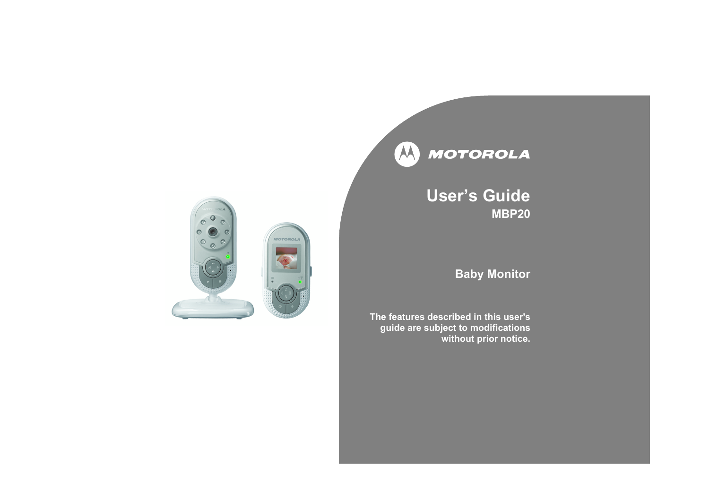

## **Userís Guide MBP20**

## **Baby Monitor**

**The features described in this user'sguide are subject to modifications without prior notice.**

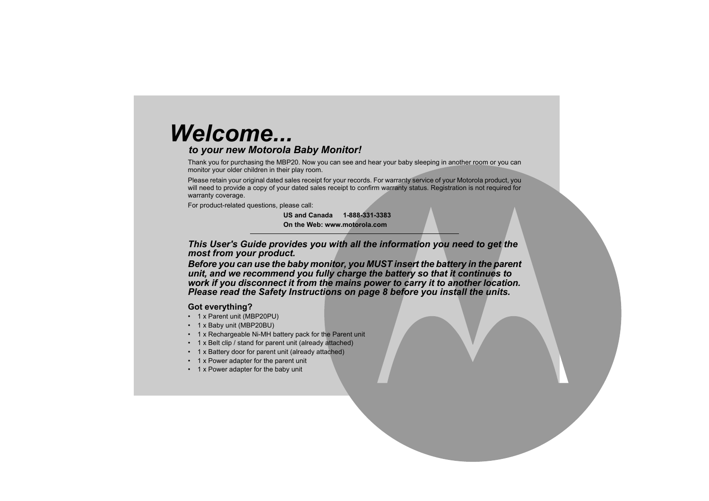# *Welcome...*

## *to your new Motorola Baby Monitor!*

Thank you for purchasing the MBP20. Now you can see and hear your baby sleeping in another room or you can monitor your older children in their play room.

Please retain your original dated sales receipt for your records. For warranty service of your Motorola product, you will need to provide a copy of your dated sales receipt to confirm warranty status. Registration is not required for warranty coverage.

For product-related questions, please call:

**US and Canada 1-888-331-3383On the Web: www.motorola.com**

*This User's Guide provides you with all the information you need to get the most from your product.*

*Before you can use the baby monitor, you MUST insert the battery in the parent unit, and we recommend you fully charge the battery so that it continues to work if you disconnect it from the mains power to carry it to another location. Please read the Safety Instructions on page [8](#page-7-0) before you install the units.*

## **Got everything?**

- 1 x Parent unit (MBP20PU)
- 1 x Baby unit (MBP20BU)
- 1 x Rechargeable Ni-MH battery pack for the Parent unit
- 1 x Belt clip / stand for parent unit (already attached)
- 1 x Battery door for parent unit (already attached)
- 1 x Power adapter for the parent unit
- 1 x Power adapter for the baby unit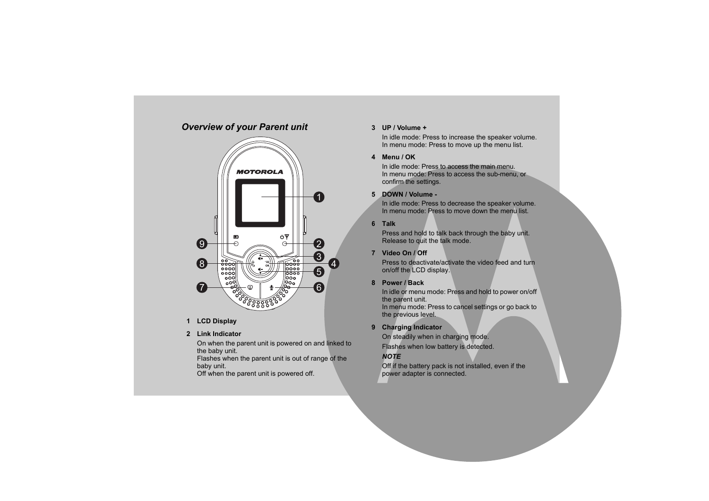## *Overview of your Parent unit*



**1 LCD Display**

## **2 Link Indicator**

On when the parent unit is powered on and linked to the baby unit.

Flashes when the parent unit is out of range of the baby unit.

Off when the parent unit is powered off.

#### **3 UP / Volume +**

In idle mode: Press to increase the speaker volume. In menu mode: Press to move up the menu list.

#### **4 Menu / OK**

In idle mode: Press to access the main menu.In menu mode: Press to access the sub-menu, or confirm the settings.

## **5 DOWN / Volume -**

In idle mode: Press to decrease the speaker volume. In menu mode: Press to move down the menu list.

#### **6Talk**

Press and hold to talk back through the baby unit. Release to quit the talk mode.

## **7 Video On / Off**

Press to deactivate/activate the video feed and turn on/off the LCD display.

## **8 Power / Back**

In idle or menu mode: Press and hold to power on/off the parent unit.

In menu mode: Press to cancel settings or go back to the previous level.

## **9 Charging Indicator**

On steadily when in charging mode.

Flashes when low battery is detected.

## *NOTE*

Off if the battery pack is not installed, even if the power adapter is connected.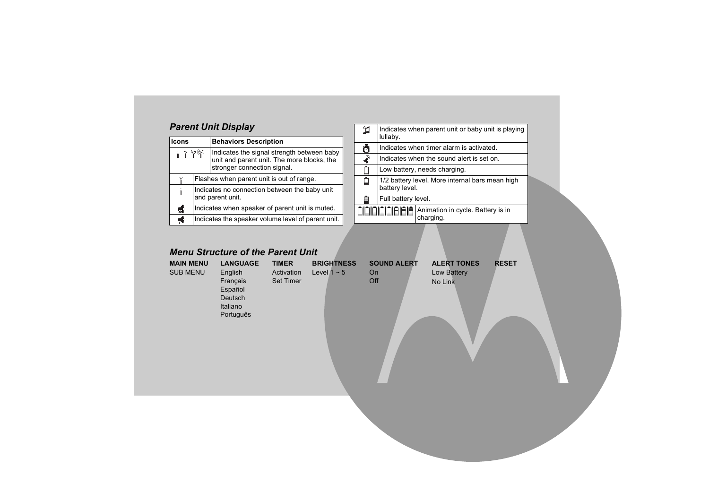## *Parent Unit Display*

| <b>Icons</b>              |                                                                   | <b>Behaviors Description</b>                                                                                            |  |  |
|---------------------------|-------------------------------------------------------------------|-------------------------------------------------------------------------------------------------------------------------|--|--|
| i 1 T V                   |                                                                   | Indicates the signal strength between baby<br>unit and parent unit. The more blocks, the<br>stronger connection signal. |  |  |
| ψ                         | Flashes when parent unit is out of range.                         |                                                                                                                         |  |  |
|                           | Indicates no connection between the baby unit<br>and parent unit. |                                                                                                                         |  |  |
| $\mathbf{x}^{\mathbf{p}}$ | Indicates when speaker of parent unit is muted.                   |                                                                                                                         |  |  |
|                           | Indicates the speaker volume level of parent unit.                |                                                                                                                         |  |  |

| Ĵ. | Indicates when parent unit or baby unit is playing<br>lullaby.    |                                                |  |
|----|-------------------------------------------------------------------|------------------------------------------------|--|
| Ō  | Indicates when timer alarm is activated.                          |                                                |  |
| √  | Indicates when the sound alert is set on.                         |                                                |  |
|    | Low battery, needs charging.                                      |                                                |  |
| ๋  | 1/2 battery level. More internal bars mean high<br>battery level. |                                                |  |
| ▤  | Full battery level.                                               |                                                |  |
|    | OQQQQQQQ                                                          | Animation in cycle. Battery is in<br>charging. |  |

## *Menu Structure of the Parent Unit*

| <b>MAIN MENU</b><br><b>SUB MENU</b> | <b>LANGUAGE</b><br>English<br>Français<br>Español<br>Deutsch<br>Italiano<br>Português | <b>TIMER</b><br>Activation<br><b>Set Timer</b> | <b>BRIGHTNESS</b><br>Level $1 \sim 5$ | <b>SOUND ALERT</b><br>On<br>Off | <b>ALERT TONES</b><br>Low Battery<br>No Link | <b>RESET</b> |
|-------------------------------------|---------------------------------------------------------------------------------------|------------------------------------------------|---------------------------------------|---------------------------------|----------------------------------------------|--------------|
|                                     |                                                                                       |                                                |                                       |                                 |                                              |              |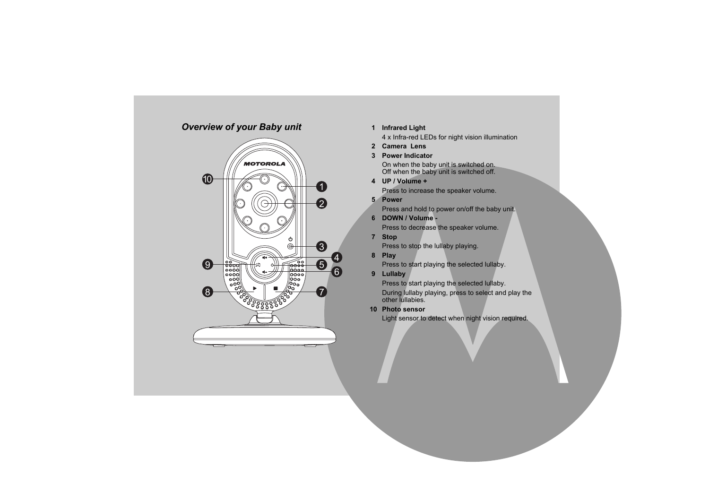## *Overview of your Baby unit*



## **1 Infrared Light**

4 x Infra-red LEDs for night vision illumination

- **2 Camera Lens**
- **3 Power Indicator**

On when the baby unit is switched on. Off when the baby unit is switched off.

**4 UP / Volume +**

Press to increase the speaker volume.

**5 Power**

Press and hold to power on/off the baby unit.

**6 DOWN / Volume -**

Press to decrease the speaker volume.

**7 Stop**

Press to stop the lullaby playing.

**8 Play**

Press to start playing the selected lullaby.

**9 Lullaby**

Press to start playing the selected lullaby.

During lullaby playing, press to select and play the other lullabies.

## **10 Photo sensor**

Light sensor to detect when night vision required.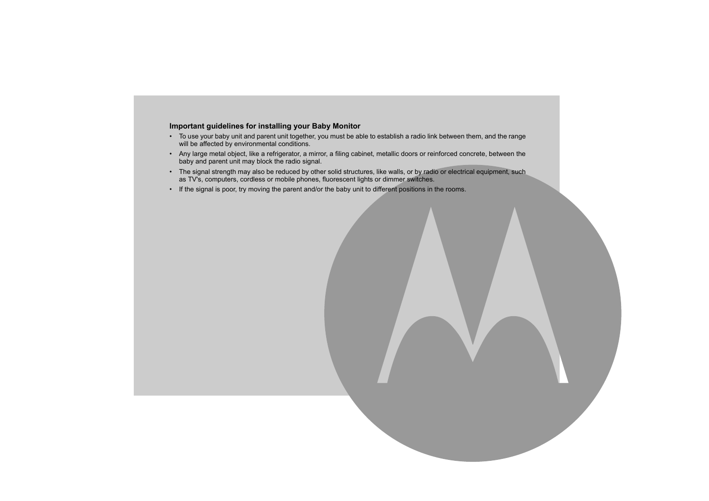#### **Important guidelines for installing your Baby Monitor**

- To use your baby unit and parent unit together, you must be able to establish a radio link between them, and the range will be affected by environmental conditions.
- Any large metal object, like a refrigerator, a mirror, a filing cabinet, metallic doors or reinforced concrete, between the baby and parent unit may block the radio signal.
- The signal strength may also be reduced by other solid structures, like walls, or by radio or electrical equipment, such as TV's, computers, cordless or mobile phones, fluorescent lights or dimmer switches.
- If the signal is poor, try moving the parent and/or the baby unit to different positions in the rooms.

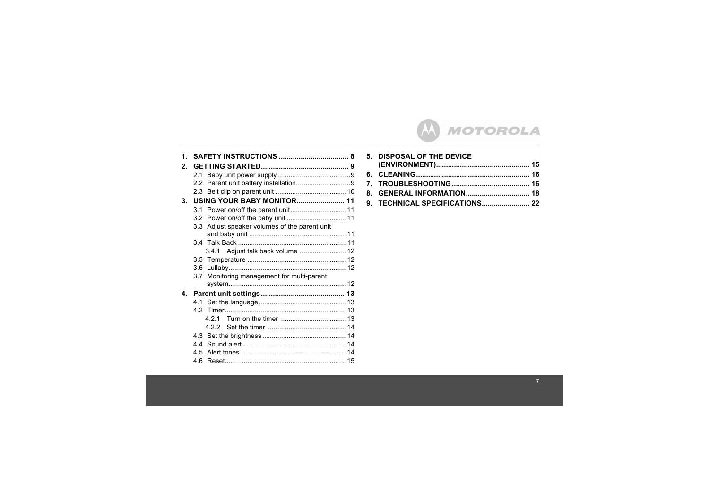## **MOTOROLA**  $(\bm{\mathsf{M}})$

| 1. |                                               |  |
|----|-----------------------------------------------|--|
| 2. |                                               |  |
|    |                                               |  |
|    |                                               |  |
|    |                                               |  |
| 3. |                                               |  |
|    |                                               |  |
|    |                                               |  |
|    | 3.3 Adjust speaker volumes of the parent unit |  |
|    |                                               |  |
|    |                                               |  |
|    |                                               |  |
|    |                                               |  |
|    |                                               |  |
|    | 3.7 Monitoring management for multi-parent    |  |
|    |                                               |  |
| 4. |                                               |  |
|    |                                               |  |
|    |                                               |  |
|    |                                               |  |
|    |                                               |  |
|    |                                               |  |
|    |                                               |  |
|    |                                               |  |
|    |                                               |  |

| 5. DISPOSAL OF THE DEVICE |  |
|---------------------------|--|
|                           |  |
|                           |  |
|                           |  |
|                           |  |
|                           |  |
|                           |  |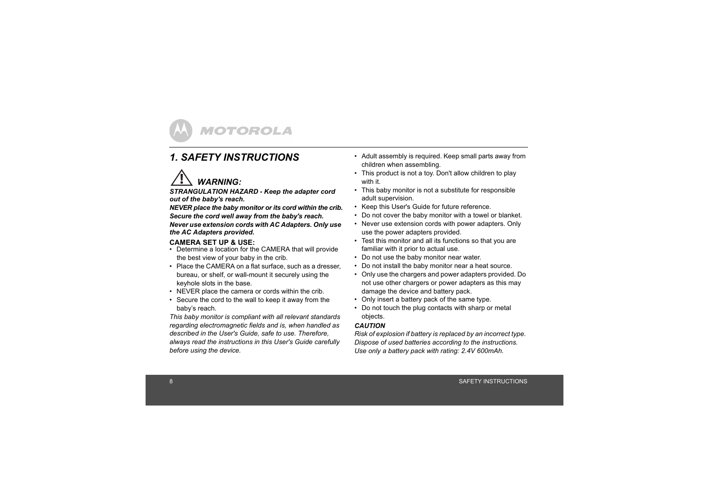

## <span id="page-7-1"></span><span id="page-7-0"></span>*1. SAFETY INSTRUCTIONS*

## *WARNING:*

*STRANGULATION HAZARD - Keep the adapter cord out of the baby's reach.*

*NEVER place the baby monitor or its cord within the crib. Secure the cord well away from the baby's reach. Never use extension cords with AC Adapters. Only use the AC Adapters provided.*

## **CAMERA SET UP & USE:**

- Determine a location for the CAMERA that will provide the best view of your baby in the crib.
- Place the CAMERA on a flat surface, such as a dresser. bureau, or shelf, or wall-mount it securely using the keyhole slots in the base.
- NEVER place the camera or cords within the crib.
- Secure the cord to the wall to keep it away from the babyís reach.

*This baby monitor is compliant with all relevant standards regarding electromagnetic fields and is, when handled as described in the User's Guide, safe to use. Therefore, always read the instructions in this User's Guide carefully before using the device.*

- Adult assembly is required. Keep small parts away from children when assembling.
- This product is not a toy. Don't allow children to play with it.
- This baby monitor is not a substitute for responsible adult supervision.
- Keep this User's Guide for future reference.
- Do not cover the baby monitor with a towel or blanket.
- Never use extension cords with power adapters. Only use the power adapters provided.
- Test this monitor and all its functions so that you are familiar with it prior to actual use.
- Do not use the baby monitor near water.
- Do not install the baby monitor near a heat source.
- Only use the chargers and power adapters provided. Do not use other chargers or power adapters as this may damage the device and battery pack.
- Only insert a battery pack of the same type.
- Do not touch the plug contacts with sharp or metal objects.

## *CAUTION*

*Risk of explosion if battery is replaced by an incorrect type. Dispose of used batteries according to the instructions. Use only a battery pack with rating: 2.4V 600mAh.*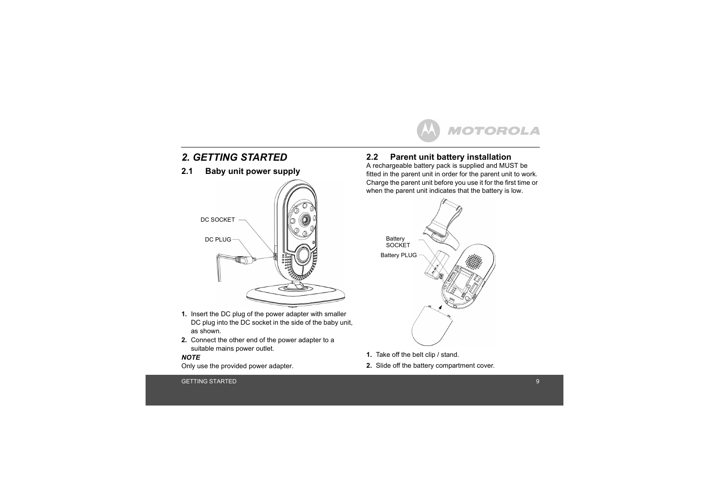

## <span id="page-8-0"></span>*2. GETTING STARTED*

## <span id="page-8-1"></span>**2.1 Baby unit power supply**



- **1.** Insert the DC plug of the power adapter with smaller DC plug into the DC socket in the side of the baby unit. as shown.
- **2.** Connect the other end of the power adapter to a suitable mains power outlet.

#### *NOTE*

Only use the provided power adapter.

## <span id="page-8-2"></span>**2.2 Parent unit battery installation**

A rechargeable battery pack is supplied and MUST be fitted in the parent unit in order for the parent unit to work. Charge the parent unit before you use it for the first time or when the parent unit indicates that the battery is low.



- **1.** Take off the belt clip / stand.
- **2.** Slide off the battery compartment cover.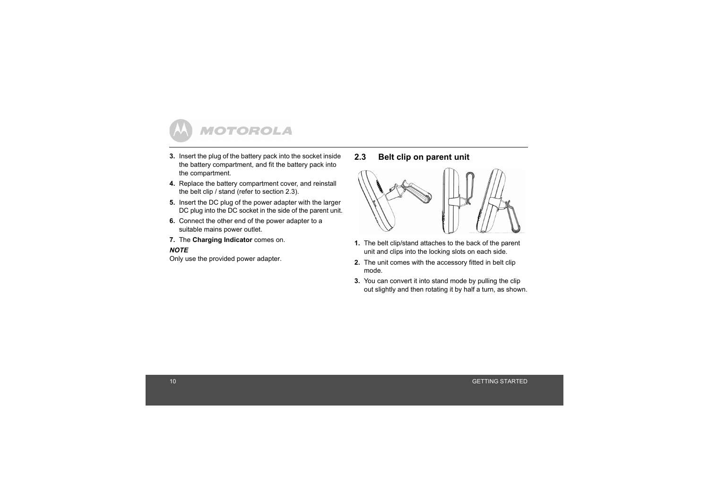

- **3.** Insert the plug of the battery pack into the socket inside the battery compartment, and fit the battery pack into the compartment.
- **4.** Replace the battery compartment cover, and reinstall the belt clip / stand (refer to section [2.3](#page-9-0)).
- **5.** Insert the DC plug of the power adapter with the larger DC plug into the DC socket in the side of the parent unit.
- **6.** Connect the other end of the power adapter to a suitable mains power outlet.
- **7.** The **Charging Indicator** comes on.

#### *NOTE*

Only use the provided power adapter.

<span id="page-9-0"></span>**2.3 Belt clip on parent unit**



- **1.** The belt clip/stand attaches to the back of the parent unit and clips into the locking slots on each side.
- **2.** The unit comes with the accessory fitted in belt clip mode.
- **3.** You can convert it into stand mode by pulling the clip out slightly and then rotating it by half a turn, as shown.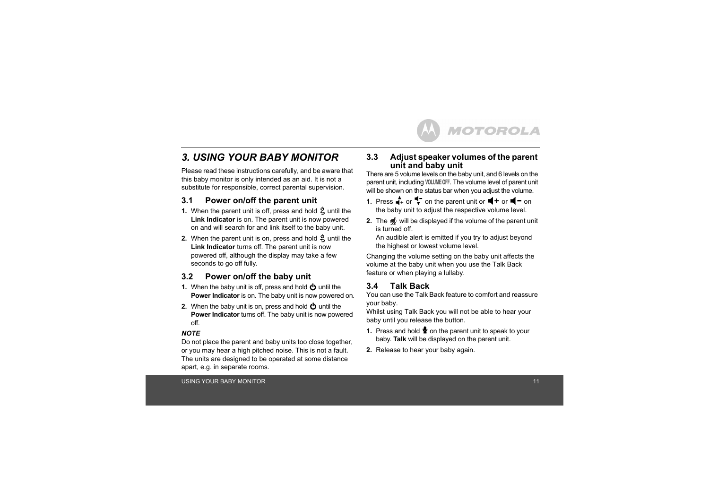## <span id="page-10-0"></span>*3. USING YOUR BABY MONITOR*

Please read these instructions carefully, and be aware that this baby monitor is only intended as an aid. It is not a substitute for responsible, correct parental supervision.

## <span id="page-10-1"></span>**3.1 Power on/off the parent unit**

- **1.** When the parent unit is off, press and hold  $\frac{6}{5}$  until the **Link Indicator** is on. The parent unit is now powered on and will search for and link itself to the baby unit.
- **2.** When the parent unit is on, press and hold 3 until the **Link Indicator** turns off. The parent unit is now powered off, although the display may take a few seconds to go off fully.

## <span id="page-10-2"></span>**3.2 Power on/off the baby unit**

- **1.** When the baby unit is off, press and hold  $\Phi$  until the **Power Indicator** is on. The baby unit is now powered on.
- **2.** When the baby unit is on, press and hold  $\Phi$  until the **Power Indicator** turns off. The baby unit is now powered off.

#### *NOTE*

Do not place the parent and baby units too close together, or you may hear a high pitched noise. This is not a fault. The units are designed to be operated at some distance apart, e.g. in separate rooms.

#### <span id="page-10-3"></span>**3.3 Adjust speaker volumes of the parent unit and baby unit**

There are 5 volume levels on the baby unit, and 6 levels on the parent unit, including **VOLUME OFF**. The volume level of parent unit will be shown on the status bar when you adjust the volume.

- **1.** Press  $\mathbf{A}$  or  $\mathbf{\overline{I}}$  on the parent unit or  $\mathbf{I}$  + or  $\mathbf{I}$  = on the baby unit to adjust the respective volume level.
- **2.** The solightharm will be displayed if the volume of the parent unit is turned off.

An audible alert is emitted if you try to adjust beyond the highest or lowest volume level.

Changing the volume setting on the baby unit affects the volume at the baby unit when you use the Talk Back feature or when playing a lullaby.

## <span id="page-10-4"></span>**3.4 Talk Back**

You can use the Talk Back feature to comfort and reassure your baby.

Whilst using Talk Back you will not be able to hear your baby until you release the button.

- **1.** Press and hold **v** on the parent unit to speak to your baby. **Talk** will be displayed on the parent unit.
- **2.** Release to hear your baby again.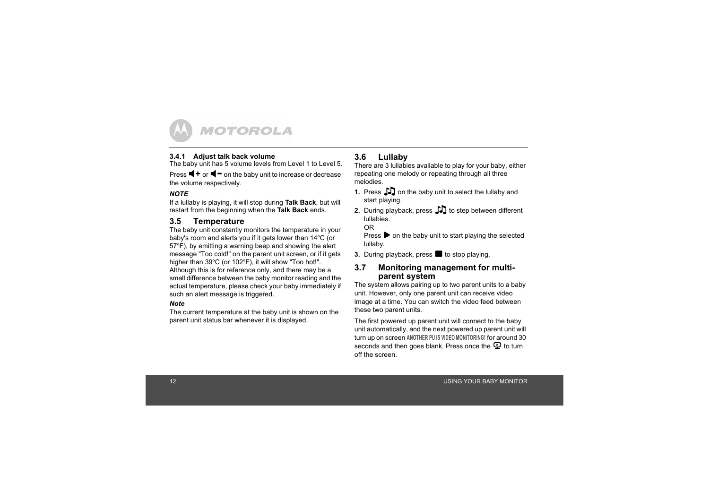

#### <span id="page-11-0"></span>**3.4.1 Adjust talk back volume**

The baby unit has 5 volume levels from Level 1 to Level 5.

Press  $\blacktriangleleft$  + or  $\blacktriangleleft$  = on the baby unit to increase or decrease the volume respectively.

#### *NOTE*

If a lullaby is playing, it will stop during **Talk Back**, but will restart from the beginning when the **Talk Back** ends.

## <span id="page-11-1"></span>**3.5 Temperature**

The baby unit constantly monitors the temperature in your baby's room and alerts you if it gets lower than 14ºC (or 57ºF), by emitting a warning beep and showing the alert message "Too cold!" on the parent unit screen, or if it gets higher than 39°C (or 102°F), it will show "Too hot!". Although this is for reference only, and there may be a small difference between the baby monitor reading and the actual temperature, please check your baby immediately if such an alert message is triggered.

#### *Note*

The current temperature at the baby unit is shown on the parent unit status bar whenever it is displayed.

## <span id="page-11-2"></span>**3.6 Lullaby**

There are 3 lullabies available to play for your baby, either repeating one melody or repeating through all three melodies.

- **1.** Press  $\Box$  on the baby unit to select the lullaby and start playing.
- **2.** During playback, press  $\int\int\int$  to step between different lullabies.

#### OR

Press  $\triangleright$  on the baby unit to start playing the selected lullaby.

**3.** During playback, press **b** to stop playing.

## <span id="page-11-3"></span>**3.7 Monitoring management for multiparent system**

The system allows pairing up to two parent units to a baby unit. However, only one parent unit can receive video image at a time. You can switch the video feed between these two parent units.

The first powered up parent unit will connect to the baby unit automatically, and the next powered up parent unit will turn up on screen **ANOTHER PU IS VIDEO MONITORING!** for around 30 seconds and then goes blank. Press once the  $\mathbf{\mathcal{Q}}$  to turn off the screen.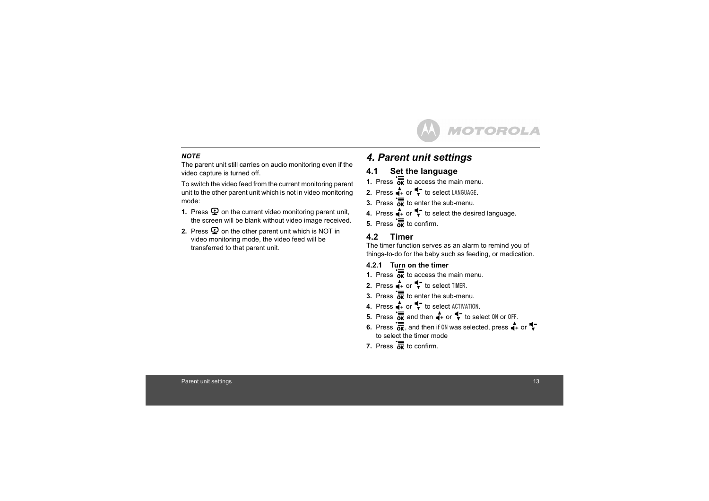

#### *NOTE*

The parent unit still carries on audio monitoring even if the video capture is turned off.

To switch the video feed from the current monitoring parent unit to the other parent unit which is not in video monitoring mode:

- **1.** Press  $\mathbf{Q}$  on the current video monitoring parent unit, the screen will be blank without video image received.
- **2.** Press  $\mathbf{\mathcal{Q}}$  on the other parent unit which is NOT in video monitoring mode, the video feed will be transferred to that parent unit.

## <span id="page-12-0"></span>*4. Parent unit settings*

## <span id="page-12-1"></span>**4.1 Set the language**

- **1.** Press  $\overline{\mathbf{a}}$  to access the main menu.
- **2.** Press  $\stackrel{\blacktriangle}{\blacksquare}$  to select LANGUAGE.
- **3.** Press  $\overline{\mathbf{a}}$  to enter the sub-menu.
- **4.** Press  $\bigoplus$  or  $\bigoplus$  to select the desired language.
- **5.** Press  $\overline{K}$  to confirm.

## <span id="page-12-2"></span>**4.2 Timer**

The timer function serves as an alarm to remind you of things-to-do for the baby such as feeding, or medication.

## <span id="page-12-3"></span>**4.2.1 Turn on the timer**

- **1.** Press  $\overline{\mathbf{a}}$  to access the main menu.
- **2.** Press  $\uparrow$  or  $\uparrow$  to select TIMER.
- **3.** Press  $\overline{\mathbf{5}}$  to enter the sub-menu.
- **4.** Press  $\stackrel{\blacktriangle}{\blacksquare}$  to select **ACTIVATION**.
- **5.** Press  $\overline{\overline{\text{OR}}}$  and then  $\overline{+}$  or  $\overline{+}$  to select 0N or 0FF.
- **6.** Press  $\overline{\mathbf{K}}$ , and then if ON was selected, press  $\mathbf{A}$  or  $\mathbf{V}$ to select the timer mode
- **7.** Press  $\overline{\mathbf{g}}$  to confirm.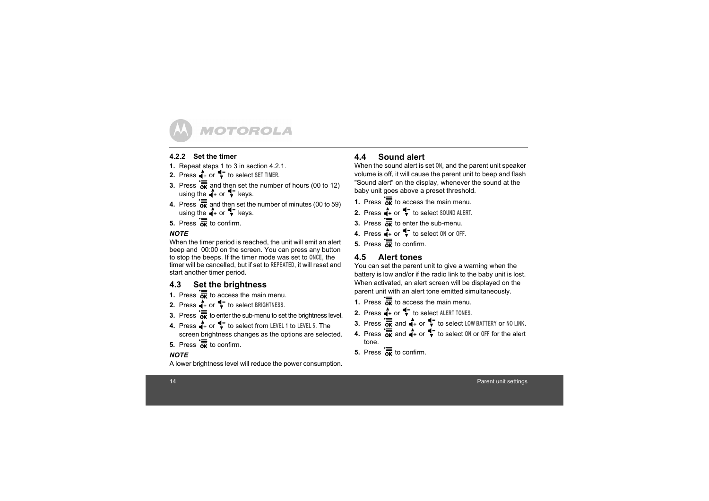

## <span id="page-13-0"></span>**4.2.2 Set the timer**

- **1.** Repeat steps 1 to 3 in section [4.2.1](#page-12-3).
- **2.** Press  $\stackrel{\bullet}{\bullet}$  or  $\stackrel{\bullet}{\bullet}$  to select SET TIMER.
- **3.** Press  $\overline{\mathbf{K}}$  and then set the number of hours (00 to 12) using the  $+$  or  $+$  keys.
- **4.** Press  $\overline{\mathbf{K}}$  and then set the number of minutes (00 to 59) using the  $\stackrel{\bullet}{\bullet}$  or  $\stackrel{\bullet}{\bullet}$  keys.
- **5.** Press  $\overline{\mathbf{a}}$  to confirm.

## *NOTE*

When the timer period is reached, the unit will emit an alert beep and 00:00 on the screen. You can press any button to stop the beeps. If the timer mode was set to **ONCE**, the timer will be cancelled, but if set to **REPEATED**, it will reset and start another timer period.

## <span id="page-13-1"></span>**4.3 Set the brightness**

- **1.** Press  $\overline{\mathbf{a}}$  to access the main menu.
- **2.** Press  $\stackrel{\blacktriangle}{\blacksquare}$  to select BRIGHTNESS.
- **3.** Press  $\overline{\mathbf{K}}$  to enter the sub-menu to set the brightness level.
- **4.** Press  $\stackrel{\blacktriangle}{\bullet}$  or  $\stackrel{\blacktriangle}{\bullet}$  to select from LEVEL 1 to LEVEL 5. The screen brightness changes as the options are selected.
- **5.** Press  $\overline{\overline{\mathsf{g}}\overline{\mathsf{K}}}$  to confirm.

## *NOTE*

A lower brightness level will reduce the power consumption.

## <span id="page-13-2"></span>**4.4 Sound alert**

When the sound alert is set **ON**, and the parent unit speaker volume is off, it will cause the parent unit to beep and flash "Sound alert" on the display, whenever the sound at the baby unit goes above a preset threshold.

- **1.** Press  $\overline{\mathbf{a}}$  to access the main menu.
- **2.** Press  $\stackrel{\blacktriangle}{\bullet}$  or  $\stackrel{\blacktriangle}{\bullet}$  to select SOUND ALERT.
- **3.** Press  $\overline{\mathbf{a}}$  to enter the sub-menu.
- **4.** Press  $\stackrel{\blacktriangle}{\bullet}$  or  $\stackrel{\blacktriangle}{\bullet}$  to select 0N or 0FF.
- **5.** Press  $\overline{\mathbf{a}}$  to confirm.

## <span id="page-13-3"></span>**4.5 Alert tones**

You can set the parent unit to give a warning when the battery is low and/or if the radio link to the baby unit is lost. When activated, an alert screen will be displayed on the parent unit with an alert tone emitted simultaneously.

- **1.** Press  $\overline{\mathbf{a}}$  to access the main menu.
- **2.** Press  $\stackrel{\blacktriangle}{\bullet}$  or  $\stackrel{\blacktriangle}{\bullet}$  to select ALERT TONES.
- **3.** Press  $\overline{\text{OK}}$  and  $\overline{\text{At}}$  or  $\P$  to select LOW BATTERY or NO LINK.
- **4.** Press  $\overline{\mathbf{g}}$  and  $\overline{\mathbf{g}}$  or  $\overline{\mathbf{v}}$  to select 0N or 0FF for the alert tone.
- **5.** Press  $\overline{\mathbf{a}}$  to confirm.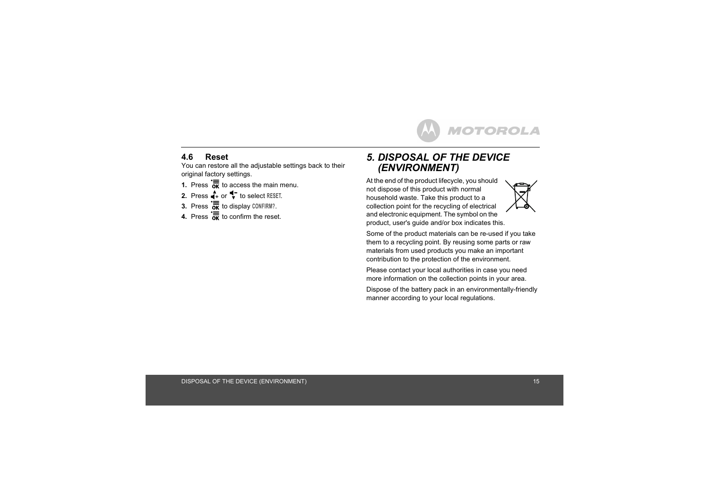

## <span id="page-14-0"></span>**4.6 Reset**

You can restore all the adjustable settings back to their original factory settings.

- **1.** Press  $\overline{\mathbf{a}}$  to access the main menu.
- **2.** Press  $\stackrel{\blacktriangle}{\blacksquare}$  to select RESET.
- **3.** Press  $\overline{\overline{\text{ok}}}$  to display CONFIRM?.
- **4.** Press  $\overline{\mathbf{a}}$  to confirm the reset.

## <span id="page-14-1"></span>*5. DISPOSAL OF THE DEVICE (ENVIRONMENT)*

At the end of the product lifecycle, you should not dispose of this product with normal household waste. Take this product to a collection point for the recycling of electrical and electronic equipment. The symbol on the product, user's guide and/or box indicates this.



Some of the product materials can be re-used if you take them to a recycling point. By reusing some parts or raw materials from used products you make an important contribution to the protection of the environment.

Please contact your local authorities in case you need more information on the collection points in your area.

Dispose of the battery pack in an environmentally-friendly manner according to your local regulations.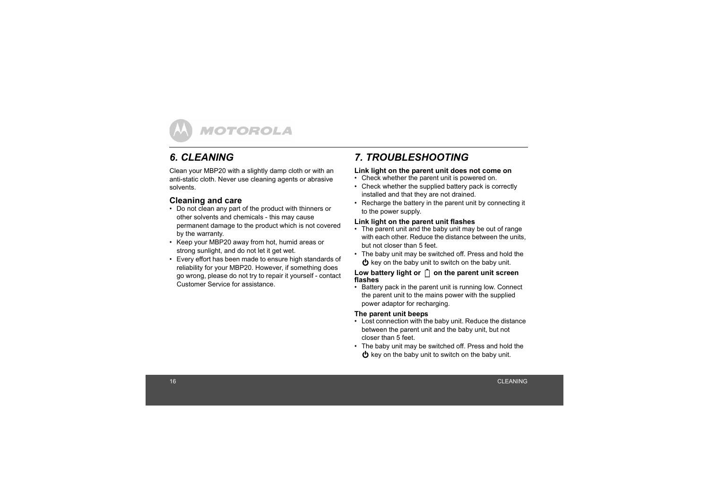## <span id="page-15-0"></span>*6. CLEANING*

Clean your MBP20 with a slightly damp cloth or with an anti-static cloth. Never use cleaning agents or abrasive solvents.

## **Cleaning and care**

- Do not clean any part of the product with thinners or other solvents and chemicals - this may cause permanent damage to the product which is not covered by the warranty.
- Keep your MBP20 away from hot, humid areas or strong sunlight, and do not let it get wet.
- Every effort has been made to ensure high standards of reliability for your MBP20. However, if something does go wrong, please do not try to repair it yourself - contact Customer Service for assistance.

## <span id="page-15-1"></span>*7. TROUBLESHOOTING*

#### **Link light on the parent unit does not come on**

- Check whether the parent unit is powered on.
- Check whether the supplied battery pack is correctly installed and that they are not drained.
- Recharge the battery in the parent unit by connecting it to the power supply.

#### **Link light on the parent unit flashes**

- The parent unit and the baby unit may be out of range with each other. Reduce the distance between the units, but not closer than 5 feet.
- The baby unit may be switched off. Press and hold the  $\Phi$  key on the baby unit to switch on the baby unit.

#### Low battery light or  $\[\ ]$  on the parent unit screen **flashes**

• Battery pack in the parent unit is running low. Connect the parent unit to the mains power with the supplied power adaptor for recharging.

#### **The parent unit beeps**

- Lost connection with the baby unit. Reduce the distance between the parent unit and the baby unit, but not closer than 5 feet.
- The baby unit may be switched off. Press and hold the  $\bigcirc$  key on the baby unit to switch on the baby unit.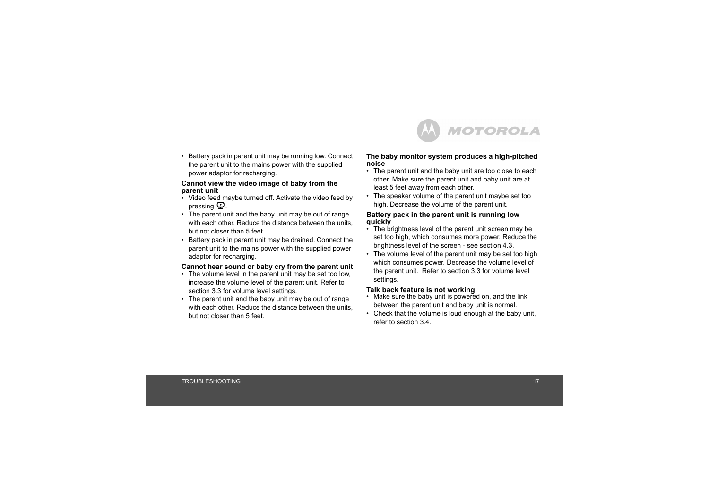• Battery pack in parent unit may be running low. Connect the parent unit to the mains power with the supplied power adaptor for recharging.

#### **Cannot view the video image of baby from the parent unit**

- Video feed maybe turned off. Activate the video feed by pressing  $\mathbf{\mathbf{\mathfrak{Q}}}$  .
- The parent unit and the baby unit may be out of range with each other. Reduce the distance between the units, but not closer than 5 feet.
- Battery pack in parent unit may be drained. Connect the parent unit to the mains power with the supplied power adaptor for recharging.

#### **Cannot hear sound or baby cry from the parent unit**

- The volume level in the parent unit may be set too low, increase the volume level of the parent unit. Refer to section [3.3](#page-10-3) for volume level settings.
- The parent unit and the baby unit may be out of range with each other. Reduce the distance between the units, but not closer than 5 feet.

#### **The baby monitor system produces a high-pitched noise**

- The parent unit and the baby unit are too close to each other. Make sure the parent unit and baby unit are at least 5 feet away from each other.
- The speaker volume of the parent unit maybe set too high. Decrease the volume of the parent unit.

#### **Battery pack in the parent unit is running low quickly**

- $\cdot$  The brightness level of the parent unit screen may be set too high, which consumes more power. Reduce the brightness level of the screen - see section [4.3](#page-13-1).
- The volume level of the parent unit may be set too high which consumes power. Decrease the volume level of the parent unit. Refer to section [3.3](#page-10-3) for volume level settings.

#### **Talk back feature is not working**

- Make sure the baby unit is powered on, and the link between the parent unit and baby unit is normal.
- Check that the volume is loud enough at the baby unit. refer to section [3.4](#page-10-4).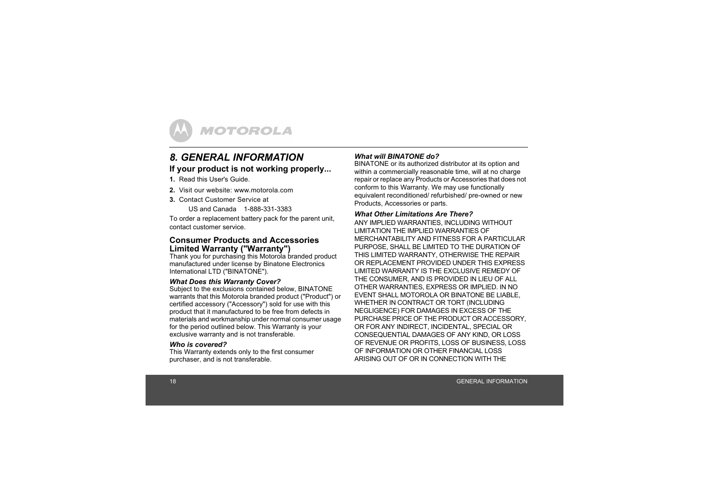

## <span id="page-17-0"></span>*8. GENERAL INFORMATION***If your product is not working properly...**

**1.** Read this User's Guide.

- **2.** Visit our website: www.motorola.com
- **3.** Contact Customer Service at

US and Canada 1-888-331-3383

To order a replacement battery pack for the parent unit, contact customer service.

#### **Consumer Products and Accessories Limited Warranty ("Warranty")**

Thank you for purchasing this Motorola branded product manufactured under license by Binatone Electronics International LTD ("BINATONE").

#### *What Does this Warranty Cover?*

Subject to the exclusions contained below, BINATONE warrants that this Motorola branded product ("Product") or certified accessory ("Accessory") sold for use with this product that it manufactured to be free from defects in materials and workmanship under normal consumer usage for the period outlined below. This Warranty is your exclusive warranty and is not transferable.

#### *Who is covered?*

This Warranty extends only to the first consumer purchaser, and is not transferable.

#### *What will BINATONE do?*

BINATONE or its authorized distributor at its option and within a commercially reasonable time, will at no charge repair or replace any Products or Accessories that does not conform to this Warranty. We may use functionally equivalent reconditioned/ refurbished/ pre-owned or new Products, Accessories or parts.

#### *What Other Limitations Are There?*

ANY IMPLIED WARRANTIES, INCLUDING WITHOUT LIMITATION THE IMPLIED WARRANTIES OF MERCHANTABILITY AND FITNESS FOR A PARTICULAR PURPOSE, SHALL BE LIMITED TO THE DURATION OF THIS LIMITED WARRANTY, OTHERWISE THE REPAIR OR REPLACEMENT PROVIDED UNDER THIS EXPRESS LIMITED WARRANTY IS THE EXCLUSIVE REMEDY OF THE CONSUMER, AND IS PROVIDED IN LIEU OF ALL OTHER WARRANTIES, EXPRESS OR IMPLIED. IN NO EVENT SHALL MOTOROLA OR BINATONE BE LIABLE, WHETHER IN CONTRACT OR TORT (INCLUDING NEGLIGENCE) FOR DAMAGES IN EXCESS OF THE PURCHASE PRICE OF THE PRODUCT OR ACCESSORY, OR FOR ANY INDIRECT, INCIDENTAL, SPECIAL OR CONSEQUENTIAL DAMAGES OF ANY KIND, OR LOSS OF REVENUE OR PROFITS, LOSS OF BUSINESS, LOSS OF INFORMATION OR OTHER FINANCIAL LOSS. ARISING OUT OF OR IN CONNECTION WITH THE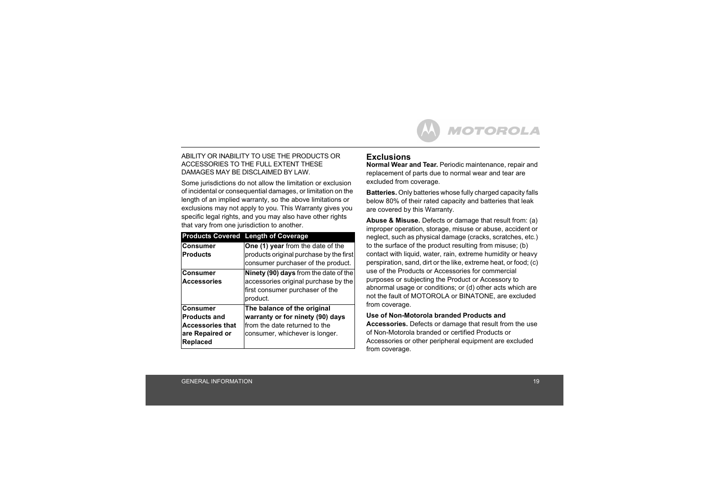#### ABILITY OR INABILITY TO USE THE PRODUCTS OR ACCESSORIES TO THE FULL EXTENT THESE DAMAGES MAY BE DISCLAIMED BY LAW.

Some jurisdictions do not allow the limitation or exclusion of incidental or consequential damages, or limitation on the length of an implied warranty, so the above limitations or exclusions may not apply to you. This Warranty gives you specific legal rights, and you may also have other rights that vary from one jurisdiction to another.

|                                                                                           | <b>Products Covered Length of Coverage</b>                                                                                         |
|-------------------------------------------------------------------------------------------|------------------------------------------------------------------------------------------------------------------------------------|
| <b>Consumer</b><br><b>Products</b>                                                        | One (1) year from the date of the<br>products original purchase by the first<br>consumer purchaser of the product.                 |
| Consumer<br><b>Accessories</b>                                                            | Ninety (90) days from the date of the<br>accessories original purchase by the<br>first consumer purchaser of the<br>product.       |
| Consumer<br><b>Products and</b><br><b>Accessories that</b><br>are Repaired or<br>Replaced | The balance of the original<br>warranty or for ninety (90) days<br>from the date returned to the<br>consumer, whichever is longer. |

## **Exclusions**

**Normal Wear and Tear.** Periodic maintenance, repair and replacement of parts due to normal wear and tear are excluded from coverage.

**Batteries.** Only batteries whose fully charged capacity falls below 80% of their rated capacity and batteries that leak are covered by this Warranty.

**Abuse & Misuse.** Defects or damage that result from: (a) improper operation, storage, misuse or abuse, accident or neglect, such as physical damage (cracks, scratches, etc.) to the surface of the product resulting from misuse; (b) contact with liquid, water, rain, extreme humidity or heavy perspiration, sand, dirt or the like, extreme heat, or food; (c) use of the Products or Accessories for commercial purposes or subjecting the Product or Accessory to abnormal usage or conditions; or (d) other acts which are not the fault of MOTOROLA or BINATONE, are excluded from coverage.

#### **Use of Non-Motorola branded Products and**

**Accessories.** Defects or damage that result from the use of Non-Motorola branded or certified Products or Accessories or other peripheral equipment are excluded from coverage.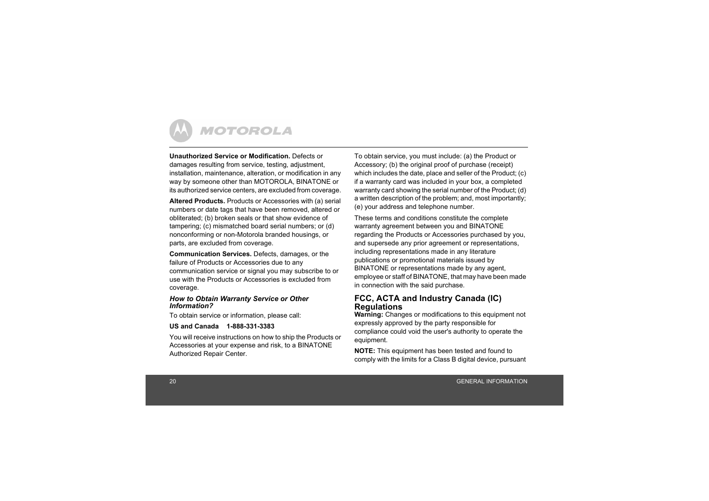

**Unauthorized Service or Modification.** Defects or damages resulting from service, testing, adjustment, installation, maintenance, alteration, or modification in any way by someone other than MOTOROLA, BINATONE or its authorized service centers, are excluded from coverage.

**Altered Products.** Products or Accessories with (a) serial numbers or date tags that have been removed, altered or obliterated; (b) broken seals or that show evidence of tampering; (c) mismatched board serial numbers; or (d) nonconforming or non-Motorola branded housings, or parts, are excluded from coverage.

**Communication Services.** Defects, damages, or the failure of Products or Accessories due to any communication service or signal you may subscribe to or use with the Products or Accessories is excluded from coverage.

#### *How to Obtain Warranty Service or Other Information?*

To obtain service or information, please call:

#### **US and Canada 1-888-331-3383**

You will receive instructions on how to ship the Products or Accessories at your expense and risk, to a BINATONE Authorized Repair Center.

To obtain service, you must include: (a) the Product or Accessory; (b) the original proof of purchase (receipt) which includes the date, place and seller of the Product; (c) if a warranty card was included in your box, a completed warranty card showing the serial number of the Product; (d) a written description of the problem; and, most importantly; (e) your address and telephone number.

These terms and conditions constitute the complete warranty agreement between you and BINATONE regarding the Products or Accessories purchased by you, and supersede any prior agreement or representations, including representations made in any literature publications or promotional materials issued by BINATONE or representations made by any agent, employee or staff of BINATONE, that may have been made in connection with the said purchase.

## **FCC, ACTA and Industry Canada (IC) Regulations**

**Warning:** Changes or modifications to this equipment not expressly approved by the party responsible for compliance could void the user's authority to operate the equipment.

**NOTE:** This equipment has been tested and found to comply with the limits for a Class B digital device, pursuant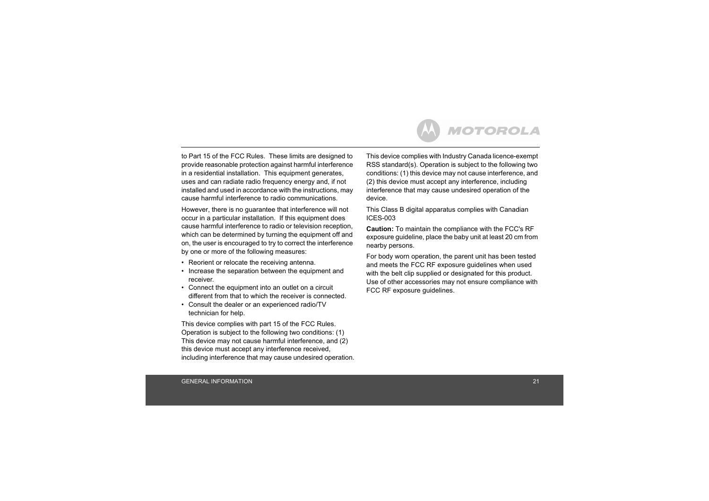to Part 15 of the FCC Rules. These limits are designed to provide reasonable protection against harmful interference in a residential installation. This equipment generates, uses and can radiate radio frequency energy and, if not installed and used in accordance with the instructions, may cause harmful interference to radio communications.

However, there is no guarantee that interference will not occur in a particular installation. If this equipment does cause harmful interference to radio or television reception, which can be determined by turning the equipment off and on, the user is encouraged to try to correct the interference by one or more of the following measures:

- Reorient or relocate the receiving antenna.
- Increase the separation between the equipment and receiver.
- Connect the equipment into an outlet on a circuit different from that to which the receiver is connected.
- Consult the dealer or an experienced radio/TV technician for help.

This device complies with part 15 of the FCC Rules. Operation is subject to the following two conditions: (1) This device may not cause harmful interference, and (2) this device must accept any interference received, including interference that may cause undesired operation. This device complies with Industry Canada licence-exempt RSS standard(s). Operation is subject to the following two conditions: (1) this device may not cause interference, and (2) this device must accept any interference, including interference that may cause undesired operation of the device.

This Class B digital apparatus complies with Canadian ICES-003

**Caution:** To maintain the compliance with the FCC's RF exposure guideline, place the baby unit at least 20 cm from nearby persons.

For body worn operation, the parent unit has been tested and meets the FCC RF exposure guidelines when used with the belt clip supplied or designated for this product. Use of other accessories may not ensure compliance with FCC RF exposure guidelines.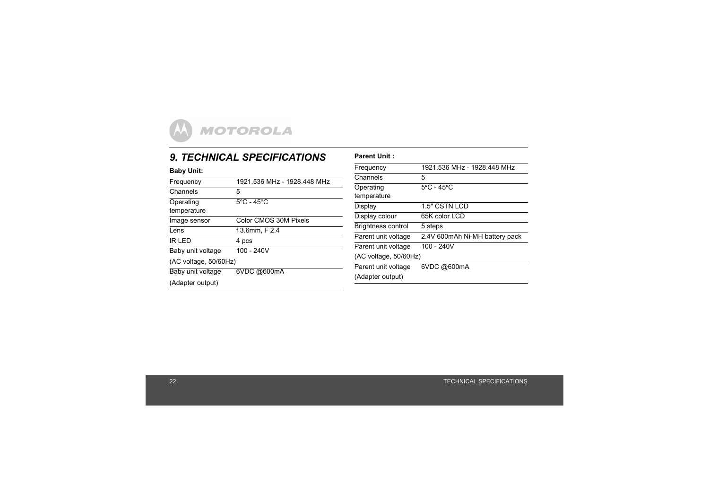## <span id="page-21-0"></span>*9. TECHNICAL SPECIFICATIONS*

| <b>9. TECHNICAL SPECIFICATIONS</b> | <b>Parent Unit:</b>                                                                                                |                                             |  |
|------------------------------------|--------------------------------------------------------------------------------------------------------------------|---------------------------------------------|--|
|                                    | Frequency                                                                                                          | 1921.536 MHz - 1928.448 MHz                 |  |
|                                    | Channels                                                                                                           | 5                                           |  |
| 5                                  | Operating<br>temperature                                                                                           | $5^{\circ}$ C - 45 $^{\circ}$ C             |  |
|                                    | Display                                                                                                            | 1.5" CSTN LCD                               |  |
| Color CMOS 30M Pixels              | Display colour                                                                                                     | 65K color LCD<br>5 steps                    |  |
|                                    | Parent unit voltage                                                                                                | 2.4V 600mAh Ni-MH battery pack              |  |
| $100 - 240V$                       | Parent unit voltage                                                                                                | 100 - 240V                                  |  |
| 6VDC @600mA                        | Parent unit voltage<br>(Adapter output)                                                                            | 6VDC @600mA                                 |  |
|                                    | 1921.536 MHz - 1928.448 MHz<br>$5^{\circ}$ C - 45 $^{\circ}$ C<br>f 3.6mm, F 2.4<br>4 pcs<br>(AC voltage, 50/60Hz) | Brightness control<br>(AC voltage, 50/60Hz) |  |